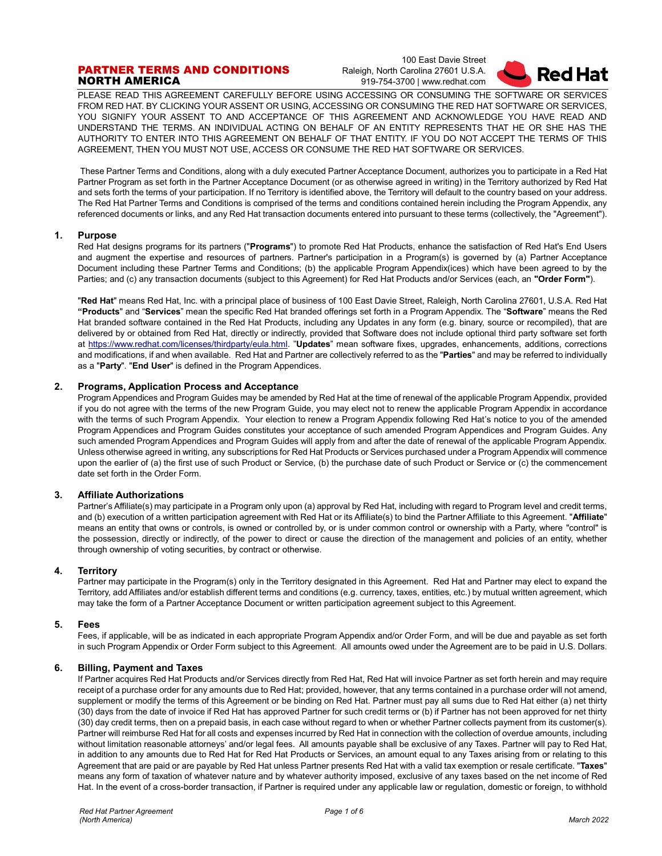## PARTNER TERMS AND CONDITIONS NORTH AMERICA

100 East Davie Street Raleigh, North Carolina 27601 U.S.A. 919-754-3700 | www.redhat.com



PLEASE READ THIS AGREEMENT CAREFULLY BEFORE USING ACCESSING OR CONSUMING THE SOFTWARE OR SERVICES FROM RED HAT. BY CLICKING YOUR ASSENT OR USING, ACCESSING OR CONSUMING THE RED HAT SOFTWARE OR SERVICES, YOU SIGNIFY YOUR ASSENT TO AND ACCEPTANCE OF THIS AGREEMENT AND ACKNOWLEDGE YOU HAVE READ AND UNDERSTAND THE TERMS. AN INDIVIDUAL ACTING ON BEHALF OF AN ENTITY REPRESENTS THAT HE OR SHE HAS THE AUTHORITY TO ENTER INTO THIS AGREEMENT ON BEHALF OF THAT ENTITY. IF YOU DO NOT ACCEPT THE TERMS OF THIS AGREEMENT, THEN YOU MUST NOT USE, ACCESS OR CONSUME THE RED HAT SOFTWARE OR SERVICES.

These Partner Terms and Conditions, along with a duly executed Partner Acceptance Document, authorizes you to participate in a Red Hat Partner Program as set forth in the Partner Acceptance Document (or as otherwise agreed in writing) in the Territory authorized by Red Hat and sets forth the terms of your participation. If no Territory is identified above, the Territory will default to the country based on your address. The Red Hat Partner Terms and Conditions is comprised of the terms and conditions contained herein including the Program Appendix, any referenced documents or links, and any Red Hat transaction documents entered into pursuant to these terms (collectively, the "Agreement").

#### **1. Purpose**

Red Hat designs programs for its partners ("**Programs**") to promote Red Hat Products, enhance the satisfaction of Red Hat's End Users and augment the expertise and resources of partners. Partner's participation in a Program(s) is governed by (a) Partner Acceptance Document including these Partner Terms and Conditions; (b) the applicable Program Appendix(ices) which have been agreed to by the Parties; and (c) any transaction documents (subject to this Agreement) for Red Hat Products and/or Services (each, an **"Order Form"**).

"**Red Hat**" means Red Hat, Inc. with a principal place of business of 100 East Davie Street, Raleigh, North Carolina 27601, U.S.A. Red Hat **"Products**" and "**Services**" mean the specific Red Hat branded offerings set forth in a Program Appendix. The "**Software**" means the Red Hat branded software contained in the Red Hat Products, including any Updates in any form (e.g. binary, source or recompiled), that are delivered by or obtained from Red Hat, directly or indirectly, provided that Software does not include optional third party software set forth at [https://www.redhat.com/licenses/thirdparty/eula.html.](https://www.redhat.com/licenses/thirdparty/eula.html) "**Updates**" mean software fixes, upgrades, enhancements, additions, corrections and modifications, if and when available. Red Hat and Partner are collectively referred to as the "**Parties**" and may be referred to individually as a "**Party**". "**End User**" is defined in the Program Appendices.

## **2. Programs, Application Process and Acceptance**

Program Appendices and Program Guides may be amended by Red Hat at the time of renewal of the applicable Program Appendix, provided if you do not agree with the terms of the new Program Guide, you may elect not to renew the applicable Program Appendix in accordance with the terms of such Program Appendix. Your election to renew a Program Appendix following Red Hat's notice to you of the amended Program Appendices and Program Guides constitutes your acceptance of such amended Program Appendices and Program Guides. Any such amended Program Appendices and Program Guides will apply from and after the date of renewal of the applicable Program Appendix. Unless otherwise agreed in writing, any subscriptions for Red Hat Products or Services purchased under a Program Appendix will commence upon the earlier of (a) the first use of such Product or Service, (b) the purchase date of such Product or Service or (c) the commencement date set forth in the Order Form.

#### **3. Affiliate Authorizations**

Partner's Affiliate(s) may participate in a Program only upon (a) approval by Red Hat, including with regard to Program level and credit terms, and (b) execution of a written participation agreement with Red Hat or its Affiliate(s) to bind the Partner Affiliate to this Agreement. "**Affiliate**" means an entity that owns or controls, is owned or controlled by, or is under common control or ownership with a Party, where "control" is the possession, directly or indirectly, of the power to direct or cause the direction of the management and policies of an entity, whether through ownership of voting securities, by contract or otherwise.

#### **4. Territory**

Partner may participate in the Program(s) only in the Territory designated in this Agreement. Red Hat and Partner may elect to expand the Territory, add Affiliates and/or establish different terms and conditions (e.g. currency, taxes, entities, etc.) by mutual written agreement, which may take the form of a Partner Acceptance Document or written participation agreement subject to this Agreement.

#### **5. Fees**

Fees, if applicable, will be as indicated in each appropriate Program Appendix and/or Order Form, and will be due and payable as set forth in such Program Appendix or Order Form subject to this Agreement. All amounts owed under the Agreement are to be paid in U.S. Dollars.

## **6. Billing, Payment and Taxes**

If Partner acquires Red Hat Products and/or Services directly from Red Hat, Red Hat will invoice Partner as set forth herein and may require receipt of a purchase order for any amounts due to Red Hat; provided, however, that any terms contained in a purchase order will not amend, supplement or modify the terms of this Agreement or be binding on Red Hat. Partner must pay all sums due to Red Hat either (a) net thirty (30) days from the date of invoice if Red Hat has approved Partner for such credit terms or (b) if Partner has not been approved for net thirty (30) day credit terms, then on a prepaid basis, in each case without regard to when or whether Partner collects payment from its customer(s). Partner will reimburse Red Hat for all costs and expenses incurred by Red Hat in connection with the collection of overdue amounts, including without limitation reasonable attorneys' and/or legal fees. All amounts payable shall be exclusive of any Taxes. Partner will pay to Red Hat, in addition to any amounts due to Red Hat for Red Hat Products or Services, an amount equal to any Taxes arising from or relating to this Agreement that are paid or are payable by Red Hat unless Partner presents Red Hat with a valid tax exemption or resale certificate. "**Taxes**" means any form of taxation of whatever nature and by whatever authority imposed, exclusive of any taxes based on the net income of Red Hat. In the event of a cross-border transaction, if Partner is required under any applicable law or regulation, domestic or foreign, to withhold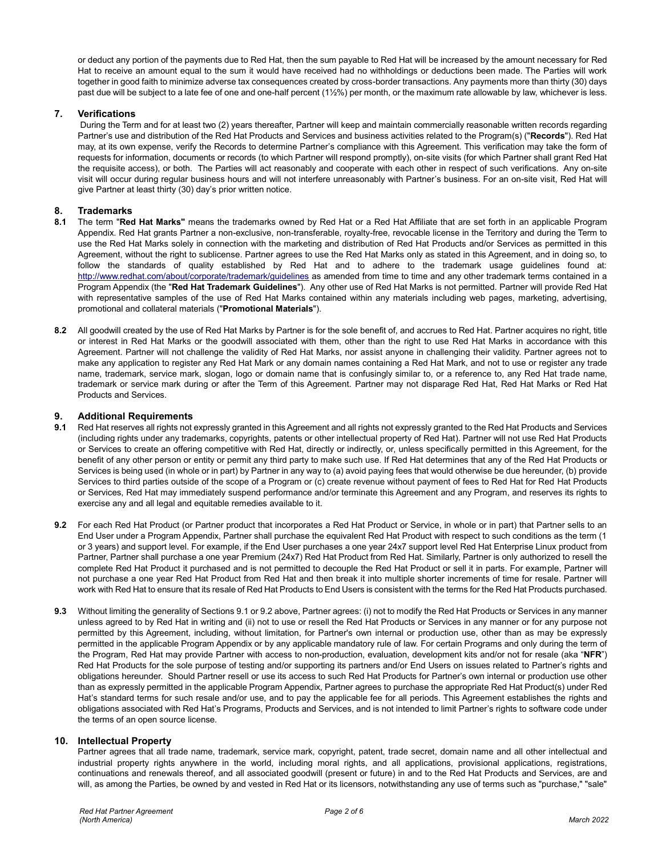or deduct any portion of the payments due to Red Hat, then the sum payable to Red Hat will be increased by the amount necessary for Red Hat to receive an amount equal to the sum it would have received had no withholdings or deductions been made. The Parties will work together in good faith to minimize adverse tax consequences created by cross-border transactions. Any payments more than thirty (30) days past due will be subject to a late fee of one and one-half percent (1½%) per month, or the maximum rate allowable by law, whichever is less.

## **7. Verifications**

During the Term and for at least two (2) years thereafter, Partner will keep and maintain commercially reasonable written records regarding Partner's use and distribution of the Red Hat Products and Services and business activities related to the Program(s) ("**Records**"). Red Hat may, at its own expense, verify the Records to determine Partner's compliance with this Agreement. This verification may take the form of requests for information, documents or records (to which Partner will respond promptly), on-site visits (for which Partner shall grant Red Hat the requisite access), or both. The Parties will act reasonably and cooperate with each other in respect of such verifications. Any on-site visit will occur during regular business hours and will not interfere unreasonably with Partner's business. For an on-site visit, Red Hat will give Partner at least thirty (30) day's prior written notice.

#### **8. Trademarks**

- **8.1** The term "**Red Hat Marks"** means the trademarks owned by Red Hat or a Red Hat Affiliate that are set forth in an applicable Program Appendix. Red Hat grants Partner a non-exclusive, non-transferable, royalty-free, revocable license in the Territory and during the Term to use the Red Hat Marks solely in connection with the marketing and distribution of Red Hat Products and/or Services as permitted in this Agreement, without the right to sublicense. Partner agrees to use the Red Hat Marks only as stated in this Agreement, and in doing so, to follow the standards of quality established by Red Hat and to adhere to the trademark usage guidelines found at: <http://www.redhat.com/about/corporate/trademark/guidelines> as amended from time to time and any other trademark terms contained in a Program Appendix (the "**Red Hat Trademark Guidelines**"). Any other use of Red Hat Marks is not permitted. Partner will provide Red Hat with representative samples of the use of Red Hat Marks contained within any materials including web pages, marketing, advertising, promotional and collateral materials ("**Promotional Materials**").
- **8.2** All goodwill created by the use of Red Hat Marks by Partner is for the sole benefit of, and accrues to Red Hat. Partner acquires no right, title or interest in Red Hat Marks or the goodwill associated with them, other than the right to use Red Hat Marks in accordance with this Agreement. Partner will not challenge the validity of Red Hat Marks, nor assist anyone in challenging their validity. Partner agrees not to make any application to register any Red Hat Mark or any domain names containing a Red Hat Mark, and not to use or register any trade name, trademark, service mark, slogan, logo or domain name that is confusingly similar to, or a reference to, any Red Hat trade name, trademark or service mark during or after the Term of this Agreement. Partner may not disparage Red Hat, Red Hat Marks or Red Hat Products and Services.

# **9. Additional Requirements**

- **9.1** Red Hat reserves all rights not expressly granted in this Agreement and all rights not expressly granted to the Red Hat Products and Services (including rights under any trademarks, copyrights, patents or other intellectual property of Red Hat). Partner will not use Red Hat Products or Services to create an offering competitive with Red Hat, directly or indirectly, or, unless specifically permitted in this Agreement, for the benefit of any other person or entity or permit any third party to make such use. If Red Hat determines that any of the Red Hat Products or Services is being used (in whole or in part) by Partner in any way to (a) avoid paying fees that would otherwise be due hereunder, (b) provide Services to third parties outside of the scope of a Program or (c) create revenue without payment of fees to Red Hat for Red Hat Products or Services, Red Hat may immediately suspend performance and/or terminate this Agreement and any Program, and reserves its rights to exercise any and all legal and equitable remedies available to it.
- **9.2** For each Red Hat Product (or Partner product that incorporates a Red Hat Product or Service, in whole or in part) that Partner sells to an End User under a Program Appendix, Partner shall purchase the equivalent Red Hat Product with respect to such conditions as the term (1 or 3 years) and support level. For example, if the End User purchases a one year 24x7 support level Red Hat Enterprise Linux product from Partner, Partner shall purchase a one year Premium (24x7) Red Hat Product from Red Hat. Similarly, Partner is only authorized to resell the complete Red Hat Product it purchased and is not permitted to decouple the Red Hat Product or sell it in parts. For example, Partner will not purchase a one year Red Hat Product from Red Hat and then break it into multiple shorter increments of time for resale. Partner will work with Red Hat to ensure that its resale of Red Hat Products to End Users is consistent with the terms for the Red Hat Products purchased.
- **9.3** Without limiting the generality of Sections 9.1 or 9.2 above, Partner agrees: (i) not to modify the Red Hat Products or Services in any manner unless agreed to by Red Hat in writing and (ii) not to use or resell the Red Hat Products or Services in any manner or for any purpose not permitted by this Agreement, including, without limitation, for Partner's own internal or production use, other than as may be expressly permitted in the applicable Program Appendix or by any applicable mandatory rule of law. For certain Programs and only during the term of the Program, Red Hat may provide Partner with access to non-production, evaluation, development kits and/or not for resale (aka "**NFR**") Red Hat Products for the sole purpose of testing and/or supporting its partners and/or End Users on issues related to Partner's rights and obligations hereunder. Should Partner resell or use its access to such Red Hat Products for Partner's own internal or production use other than as expressly permitted in the applicable Program Appendix, Partner agrees to purchase the appropriate Red Hat Product(s) under Red Hat's standard terms for such resale and/or use, and to pay the applicable fee for all periods. This Agreement establishes the rights and obligations associated with Red Hat's Programs, Products and Services, and is not intended to limit Partner's rights to software code under the terms of an open source license.

#### **10. Intellectual Property**

Partner agrees that all trade name, trademark, service mark, copyright, patent, trade secret, domain name and all other intellectual and industrial property rights anywhere in the world, including moral rights, and all applications, provisional applications, registrations, continuations and renewals thereof, and all associated goodwill (present or future) in and to the Red Hat Products and Services, are and will, as among the Parties, be owned by and vested in Red Hat or its licensors, notwithstanding any use of terms such as "purchase," "sale"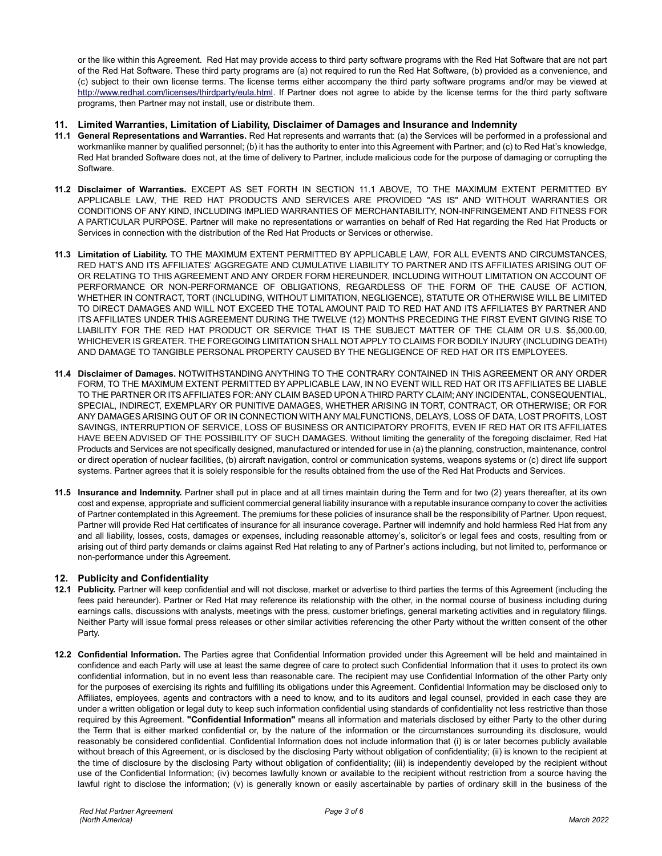or the like within this Agreement. Red Hat may provide access to third party software programs with the Red Hat Software that are not part of the Red Hat Software. These third party programs are (a) not required to run the Red Hat Software, (b) provided as a convenience, and (c) subject to their own license terms. The license terms either accompany the third party software programs and/or may be viewed at [http://www.redhat.com/licenses/thirdparty/eula.html.](http://www.redhat.com/licenses/thirdparty/eula.html) If Partner does not agree to abide by the license terms for the third party software programs, then Partner may not install, use or distribute them.

#### **11. Limited Warranties, Limitation of Liability, Disclaimer of Damages and Insurance and Indemnity**

- **11.1 General Representations and Warranties.** Red Hat represents and warrants that: (a) the Services will be performed in a professional and workmanlike manner by qualified personnel; (b) it has the authority to enter into this Agreement with Partner; and (c) to Red Hat's knowledge, Red Hat branded Software does not, at the time of delivery to Partner, include malicious code for the purpose of damaging or corrupting the Software.
- **11.2 Disclaimer of Warranties.** EXCEPT AS SET FORTH IN SECTION 11.1 ABOVE, TO THE MAXIMUM EXTENT PERMITTED BY APPLICABLE LAW, THE RED HAT PRODUCTS AND SERVICES ARE PROVIDED "AS IS" AND WITHOUT WARRANTIES OR CONDITIONS OF ANY KIND, INCLUDING IMPLIED WARRANTIES OF MERCHANTABILITY, NON-INFRINGEMENT AND FITNESS FOR A PARTICULAR PURPOSE. Partner will make no representations or warranties on behalf of Red Hat regarding the Red Hat Products or Services in connection with the distribution of the Red Hat Products or Services or otherwise.
- **11.3 Limitation of Liability.** TO THE MAXIMUM EXTENT PERMITTED BY APPLICABLE LAW, FOR ALL EVENTS AND CIRCUMSTANCES, RED HAT'S AND ITS AFFILIATES' AGGREGATE AND CUMULATIVE LIABILITY TO PARTNER AND ITS AFFILIATES ARISING OUT OF OR RELATING TO THIS AGREEMENT AND ANY ORDER FORM HEREUNDER, INCLUDING WITHOUT LIMITATION ON ACCOUNT OF PERFORMANCE OR NON-PERFORMANCE OF OBLIGATIONS, REGARDLESS OF THE FORM OF THE CAUSE OF ACTION, WHETHER IN CONTRACT, TORT (INCLUDING, WITHOUT LIMITATION, NEGLIGENCE), STATUTE OR OTHERWISE WILL BE LIMITED TO DIRECT DAMAGES AND WILL NOT EXCEED THE TOTAL AMOUNT PAID TO RED HAT AND ITS AFFILIATES BY PARTNER AND ITS AFFILIATES UNDER THIS AGREEMENT DURING THE TWELVE (12) MONTHS PRECEDING THE FIRST EVENT GIVING RISE TO LIABILITY FOR THE RED HAT PRODUCT OR SERVICE THAT IS THE SUBJECT MATTER OF THE CLAIM OR U.S. \$5,000.00, WHICHEVER IS GREATER. THE FOREGOING LIMITATION SHALL NOT APPLY TO CLAIMS FOR BODILY INJURY (INCLUDING DEATH) AND DAMAGE TO TANGIBLE PERSONAL PROPERTY CAUSED BY THE NEGLIGENCE OF RED HAT OR ITS EMPLOYEES.
- **11.4 Disclaimer of Damages.** NOTWITHSTANDING ANYTHING TO THE CONTRARY CONTAINED IN THIS AGREEMENT OR ANY ORDER FORM, TO THE MAXIMUM EXTENT PERMITTED BY APPLICABLE LAW, IN NO EVENT WILL RED HAT OR ITS AFFILIATES BE LIABLE TO THE PARTNER OR ITS AFFILIATES FOR: ANY CLAIM BASED UPON A THIRD PARTY CLAIM; ANY INCIDENTAL, CONSEQUENTIAL, SPECIAL, INDIRECT, EXEMPLARY OR PUNITIVE DAMAGES, WHETHER ARISING IN TORT, CONTRACT, OR OTHERWISE; OR FOR ANY DAMAGES ARISING OUT OF OR IN CONNECTION WITH ANY MALFUNCTIONS, DELAYS, LOSS OF DATA, LOST PROFITS, LOST SAVINGS, INTERRUPTION OF SERVICE, LOSS OF BUSINESS OR ANTICIPATORY PROFITS, EVEN IF RED HAT OR ITS AFFILIATES HAVE BEEN ADVISED OF THE POSSIBILITY OF SUCH DAMAGES. Without limiting the generality of the foregoing disclaimer, Red Hat Products and Services are not specifically designed, manufactured or intended for use in (a) the planning, construction, maintenance, control or direct operation of nuclear facilities, (b) aircraft navigation, control or communication systems, weapons systems or (c) direct life support systems. Partner agrees that it is solely responsible for the results obtained from the use of the Red Hat Products and Services.
- **11.5 Insurance and Indemnity.** Partner shall put in place and at all times maintain during the Term and for two (2) years thereafter, at its own cost and expense, appropriate and sufficient commercial general liability insurance with a reputable insurance company to cover the activities of Partner contemplated in this Agreement. The premiums for these policies of insurance shall be the responsibility of Partner. Upon request, Partner will provide Red Hat certificates of insurance for all insurance coverage**.** Partner will indemnify and hold harmless Red Hat from any and all liability, losses, costs, damages or expenses, including reasonable attorney's, solicitor's or legal fees and costs, resulting from or arising out of third party demands or claims against Red Hat relating to any of Partner's actions including, but not limited to, performance or non-performance under this Agreement.

## **12. Publicity and Confidentiality**

- **12.1 Publicity.** Partner will keep confidential and will not disclose, market or advertise to third parties the terms of this Agreement (including the fees paid hereunder). Partner or Red Hat may reference its relationship with the other, in the normal course of business including during earnings calls, discussions with analysts, meetings with the press, customer briefings, general marketing activities and in regulatory filings. Neither Party will issue formal press releases or other similar activities referencing the other Party without the written consent of the other Party.
- **12.2 Confidential Information.** The Parties agree that Confidential Information provided under this Agreement will be held and maintained in confidence and each Party will use at least the same degree of care to protect such Confidential Information that it uses to protect its own confidential information, but in no event less than reasonable care. The recipient may use Confidential Information of the other Party only for the purposes of exercising its rights and fulfilling its obligations under this Agreement. Confidential Information may be disclosed only to Affiliates, employees, agents and contractors with a need to know, and to its auditors and legal counsel, provided in each case they are under a written obligation or legal duty to keep such information confidential using standards of confidentiality not less restrictive than those required by this Agreement. **"Confidential Information"** means all information and materials disclosed by either Party to the other during the Term that is either marked confidential or, by the nature of the information or the circumstances surrounding its disclosure, would reasonably be considered confidential. Confidential Information does not include information that (i) is or later becomes publicly available without breach of this Agreement, or is disclosed by the disclosing Party without obligation of confidentiality; (ii) is known to the recipient at the time of disclosure by the disclosing Party without obligation of confidentiality; (iii) is independently developed by the recipient without use of the Confidential Information; (iv) becomes lawfully known or available to the recipient without restriction from a source having the lawful right to disclose the information; (v) is generally known or easily ascertainable by parties of ordinary skill in the business of the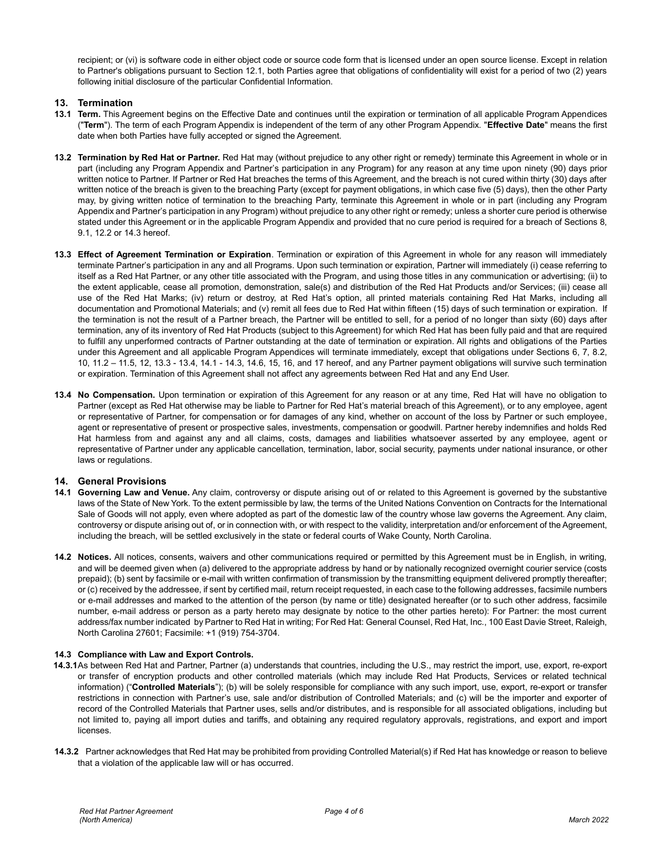recipient; or (vi) is software code in either object code or source code form that is licensed under an open source license. Except in relation to Partner's obligations pursuant to Section 12.1, both Parties agree that obligations of confidentiality will exist for a period of two (2) years following initial disclosure of the particular Confidential Information.

## **13. Termination**

- **13.1 Term.** This Agreement begins on the Effective Date and continues until the expiration or termination of all applicable Program Appendices ("**Term**"). The term of each Program Appendix is independent of the term of any other Program Appendix. "**Effective Date**" means the first date when both Parties have fully accepted or signed the Agreement.
- **13.2 Termination by Red Hat or Partner.** Red Hat may (without prejudice to any other right or remedy) terminate this Agreement in whole or in part (including any Program Appendix and Partner's participation in any Program) for any reason at any time upon ninety (90) days prior written notice to Partner. If Partner or Red Hat breaches the terms of this Agreement, and the breach is not cured within thirty (30) days after written notice of the breach is given to the breaching Party (except for payment obligations, in which case five (5) days), then the other Party may, by giving written notice of termination to the breaching Party, terminate this Agreement in whole or in part (including any Program Appendix and Partner's participation in any Program) without prejudice to any other right or remedy; unless a shorter cure period is otherwise stated under this Agreement or in the applicable Program Appendix and provided that no cure period is required for a breach of Sections 8, 9.1, 12.2 or 14.3 hereof.
- **13.3 Effect of Agreement Termination or Expiration**. Termination or expiration of this Agreement in whole for any reason will immediately terminate Partner's participation in any and all Programs. Upon such termination or expiration, Partner will immediately (i) cease referring to itself as a Red Hat Partner, or any other title associated with the Program, and using those titles in any communication or advertising; (ii) to the extent applicable, cease all promotion, demonstration, sale(s) and distribution of the Red Hat Products and/or Services; (iii) cease all use of the Red Hat Marks; (iv) return or destroy, at Red Hat's option, all printed materials containing Red Hat Marks, including all documentation and Promotional Materials; and (v) remit all fees due to Red Hat within fifteen (15) days of such termination or expiration. If the termination is not the result of a Partner breach, the Partner will be entitled to sell, for a period of no longer than sixty (60) days after termination, any of its inventory of Red Hat Products (subject to this Agreement) for which Red Hat has been fully paid and that are required to fulfill any unperformed contracts of Partner outstanding at the date of termination or expiration. All rights and obligations of the Parties under this Agreement and all applicable Program Appendices will terminate immediately, except that obligations under Sections 6, 7, 8.2, 10, 11.2 – 11.5, 12, 13.3 - 13.4, 14.1 - 14.3, 14.6, 15, 16, and 17 hereof, and any Partner payment obligations will survive such termination or expiration. Termination of this Agreement shall not affect any agreements between Red Hat and any End User.
- **13.4 No Compensation.** Upon termination or expiration of this Agreement for any reason or at any time, Red Hat will have no obligation to Partner (except as Red Hat otherwise may be liable to Partner for Red Hat's material breach of this Agreement), or to any employee, agent or representative of Partner, for compensation or for damages of any kind, whether on account of the loss by Partner or such employee, agent or representative of present or prospective sales, investments, compensation or goodwill. Partner hereby indemnifies and holds Red Hat harmless from and against any and all claims, costs, damages and liabilities whatsoever asserted by any employee, agent or representative of Partner under any applicable cancellation, termination, labor, social security, payments under national insurance, or other laws or regulations.

## **14. General Provisions**

- **14.1 Governing Law and Venue.** Any claim, controversy or dispute arising out of or related to this Agreement is governed by the substantive laws of the State of New York. To the extent permissible by law, the terms of the United Nations Convention on Contracts for the International Sale of Goods will not apply, even where adopted as part of the domestic law of the country whose law governs the Agreement. Any claim, controversy or dispute arising out of, or in connection with, or with respect to the validity, interpretation and/or enforcement of the Agreement, including the breach, will be settled exclusively in the state or federal courts of Wake County, North Carolina.
- **14.2 Notices.** All notices, consents, waivers and other communications required or permitted by this Agreement must be in English, in writing, and will be deemed given when (a) delivered to the appropriate address by hand or by nationally recognized overnight courier service (costs prepaid); (b) sent by facsimile or e-mail with written confirmation of transmission by the transmitting equipment delivered promptly thereafter; or (c) received by the addressee, if sent by certified mail, return receipt requested, in each case to the following addresses, facsimile numbers or e-mail addresses and marked to the attention of the person (by name or title) designated hereafter (or to such other address, facsimile number, e-mail address or person as a party hereto may designate by notice to the other parties hereto): For Partner: the most current address/fax number indicated by Partner to Red Hat in writing; For Red Hat: General Counsel, Red Hat, Inc., 100 East Davie Street, Raleigh, North Carolina 27601; Facsimile: +1 (919) 754-3704.

#### **14.3 Compliance with Law and Export Controls.**

- **14.3.1**As between Red Hat and Partner, Partner (a) understands that countries, including the U.S., may restrict the import, use, export, re-export or transfer of encryption products and other controlled materials (which may include Red Hat Products, Services or related technical information) ("**Controlled Materials**"); (b) will be solely responsible for compliance with any such import, use, export, re-export or transfer restrictions in connection with Partner's use, sale and/or distribution of Controlled Materials; and (c) will be the importer and exporter of record of the Controlled Materials that Partner uses, sells and/or distributes, and is responsible for all associated obligations, including but not limited to, paying all import duties and tariffs, and obtaining any required regulatory approvals, registrations, and export and import licenses.
- **14.3.2** Partner acknowledges that Red Hat may be prohibited from providing Controlled Material(s) if Red Hat has knowledge or reason to believe that a violation of the applicable law will or has occurred.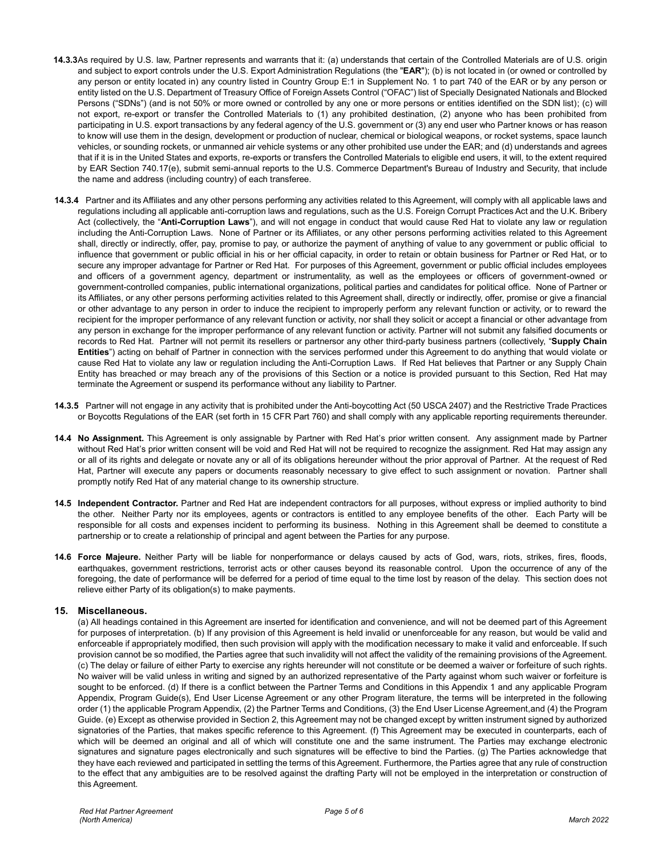- **14.3.3**As required by U.S. law, Partner represents and warrants that it: (a) understands that certain of the Controlled Materials are of U.S. origin and subject to export controls under the U.S. Export Administration Regulations (the "**EAR**"); (b) is not located in (or owned or controlled by any person or entity located in) any country listed in Country Group E:1 in Supplement No. 1 to part 740 of the EAR or by any person or entity listed on the U.S. Department of Treasury Office of Foreign Assets Control ("OFAC") list of Specially Designated Nationals and Blocked Persons ("SDNs") (and is not 50% or more owned or controlled by any one or more persons or entities identified on the SDN list); (c) will not export, re-export or transfer the Controlled Materials to (1) any prohibited destination, (2) anyone who has been prohibited from participating in U.S. export transactions by any federal agency of the U.S. government or (3) any end user who Partner knows or has reason to know will use them in the design, development or production of nuclear, chemical or biological weapons, or rocket systems, space launch vehicles, or sounding rockets, or unmanned air vehicle systems or any other prohibited use under the EAR; and (d) understands and agrees that if it is in the United States and exports, re-exports or transfers the Controlled Materials to eligible end users, it will, to the extent required by EAR Section 740.17(e), submit semi-annual reports to the U.S. Commerce Department's Bureau of Industry and Security, that include the name and address (including country) of each transferee.
- **14.3.4** Partner and its Affiliates and any other persons performing any activities related to this Agreement, will comply with all applicable laws and regulations including all applicable anti-corruption laws and regulations, such as the U.S. Foreign Corrupt Practices Act and the U.K. Bribery Act (collectively, the "**Anti-Corruption Laws**"), and will not engage in conduct that would cause Red Hat to violate any law or regulation including the Anti-Corruption Laws. None of Partner or its Affiliates, or any other persons performing activities related to this Agreement shall, directly or indirectly, offer, pay, promise to pay, or authorize the payment of anything of value to any government or public official to influence that government or public official in his or her official capacity, in order to retain or obtain business for Partner or Red Hat, or to secure any improper advantage for Partner or Red Hat. For purposes of this Agreement, government or public official includes employees and officers of a government agency, department or instrumentality, as well as the employees or officers of government-owned or government-controlled companies, public international organizations, political parties and candidates for political office. None of Partner or its Affiliates, or any other persons performing activities related to this Agreement shall, directly or indirectly, offer, promise or give a financial or other advantage to any person in order to induce the recipient to improperly perform any relevant function or activity, or to reward the recipient for the improper performance of any relevant function or activity, nor shall they solicit or accept a financial or other advantage from any person in exchange for the improper performance of any relevant function or activity. Partner will not submit any falsified documents or records to Red Hat. Partner will not permit its resellers or partnersor any other third-party business partners (collectively, "**Supply Chain Entities**") acting on behalf of Partner in connection with the services performed under this Agreement to do anything that would violate or cause Red Hat to violate any law or regulation including the Anti-Corruption Laws. If Red Hat believes that Partner or any Supply Chain Entity has breached or may breach any of the provisions of this Section or a notice is provided pursuant to this Section, Red Hat may terminate the Agreement or suspend its performance without any liability to Partner.
- **14.3.5** Partner will not engage in any activity that is prohibited under the Anti-boycotting Act (50 USCA 2407) and the Restrictive Trade Practices or Boycotts Regulations of the EAR (set forth in 15 CFR Part 760) and shall comply with any applicable reporting requirements thereunder.
- **14.4 No Assignment.** This Agreement is only assignable by Partner with Red Hat's prior written consent. Any assignment made by Partner without Red Hat's prior written consent will be void and Red Hat will not be required to recognize the assignment. Red Hat may assign any or all of its rights and delegate or novate any or all of its obligations hereunder without the prior approval of Partner. At the request of Red Hat, Partner will execute any papers or documents reasonably necessary to give effect to such assignment or novation. Partner shall promptly notify Red Hat of any material change to its ownership structure.
- **14.5 Independent Contractor.** Partner and Red Hat are independent contractors for all purposes, without express or implied authority to bind the other. Neither Party nor its employees, agents or contractors is entitled to any employee benefits of the other. Each Party will be responsible for all costs and expenses incident to performing its business. Nothing in this Agreement shall be deemed to constitute a partnership or to create a relationship of principal and agent between the Parties for any purpose.
- **14.6 Force Majeure.** Neither Party will be liable for nonperformance or delays caused by acts of God, wars, riots, strikes, fires, floods, earthquakes, government restrictions, terrorist acts or other causes beyond its reasonable control. Upon the occurrence of any of the foregoing, the date of performance will be deferred for a period of time equal to the time lost by reason of the delay. This section does not relieve either Party of its obligation(s) to make payments.

#### **15. Miscellaneous.**

(a) All headings contained in this Agreement are inserted for identification and convenience, and will not be deemed part of this Agreement for purposes of interpretation. (b) If any provision of this Agreement is held invalid or unenforceable for any reason, but would be valid and enforceable if appropriately modified, then such provision will apply with the modification necessary to make it valid and enforceable. If such provision cannot be so modified, the Parties agree that such invalidity will not affect the validity of the remaining provisions of the Agreement. (c) The delay or failure of either Party to exercise any rights hereunder will not constitute or be deemed a waiver or forfeiture of such rights. No waiver will be valid unless in writing and signed by an authorized representative of the Party against whom such waiver or forfeiture is sought to be enforced. (d) If there is a conflict between the Partner Terms and Conditions in this Appendix 1 and any applicable Program Appendix, Program Guide(s), End User License Agreement or any other Program literature, the terms will be interpreted in the following order (1) the applicable Program Appendix, (2) the Partner Terms and Conditions, (3) the End User License Agreement,and (4) the Program Guide. (e) Except as otherwise provided in Section 2, this Agreement may not be changed except by written instrument signed by authorized signatories of the Parties, that makes specific reference to this Agreement. (f) This Agreement may be executed in counterparts, each of which will be deemed an original and all of which will constitute one and the same instrument. The Parties may exchange electronic signatures and signature pages electronically and such signatures will be effective to bind the Parties. (g) The Parties acknowledge that they have each reviewed and participated in settling the terms of this Agreement. Furthermore, the Parties agree that any rule of construction to the effect that any ambiguities are to be resolved against the drafting Party will not be employed in the interpretation or construction of this Agreement.